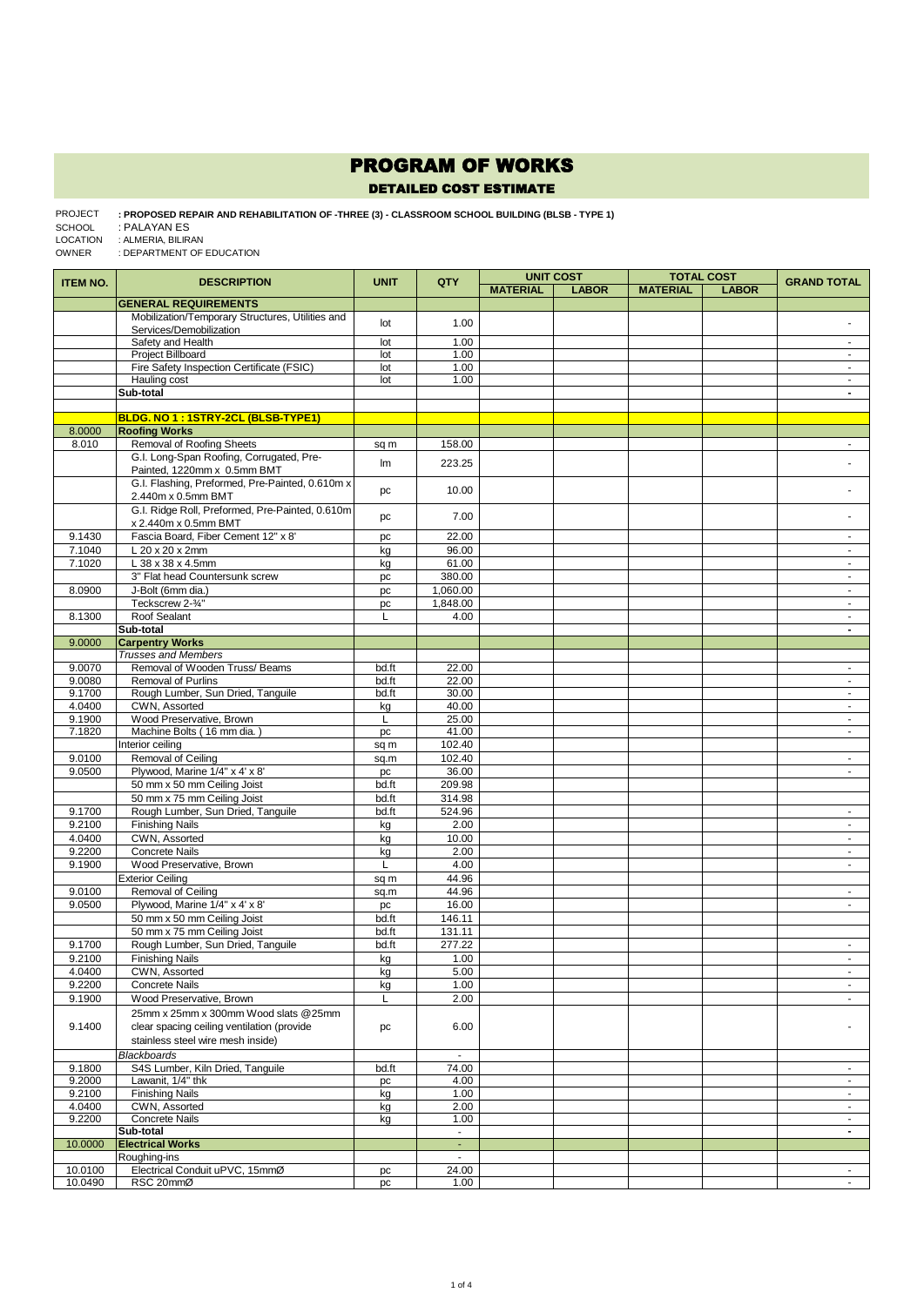## PROGRAM OF WORKS

## DETAILED COST ESTIMATE

## **: PROPOSED REPAIR AND REHABILITATION OF -THREE (3) - CLASSROOM SCHOOL BUILDING (BLSB - TYPE 1)**  PROJECT : PALAYAN ES : ALMERIA, BILIRAN SCHOOL LOCATION

: DEPARTMENT OF EDUCATION OWNER

| <b>ITEM NO.</b>  | <b>DESCRIPTION</b>                                             | <b>UNIT</b>    | QTY                                  | <b>UNIT COST</b><br><b>TOTAL COST</b> |              |                 | <b>GRAND TOTAL</b> |                                  |
|------------------|----------------------------------------------------------------|----------------|--------------------------------------|---------------------------------------|--------------|-----------------|--------------------|----------------------------------|
|                  |                                                                |                |                                      | <b>MATERIAL</b>                       | <b>LABOR</b> | <b>MATERIAL</b> | <b>LABOR</b>       |                                  |
|                  | <b>GENERAL REQUIREMENTS</b>                                    |                |                                      |                                       |              |                 |                    |                                  |
|                  | Mobilization/Temporary Structures, Utilities and               | lot            | 1.00                                 |                                       |              |                 |                    |                                  |
|                  | Services/Demobilization                                        |                |                                      |                                       |              |                 |                    |                                  |
|                  | Safety and Health                                              | lot            | 1.00                                 |                                       |              |                 |                    | $\sim$                           |
|                  | <b>Project Billboard</b>                                       | lot            | 1.00                                 |                                       |              |                 |                    | $\blacksquare$                   |
|                  | Fire Safety Inspection Certificate (FSIC)<br>Hauling cost      | lot            | 1.00<br>1.00                         |                                       |              |                 |                    | $\blacksquare$                   |
|                  | Sub-total                                                      | lot            |                                      |                                       |              |                 |                    | $\blacksquare$<br>$\blacksquare$ |
|                  |                                                                |                |                                      |                                       |              |                 |                    |                                  |
|                  | BLDG. NO 1: 1STRY-2CL (BLSB-TYPE1)                             |                |                                      |                                       |              |                 |                    |                                  |
| 8.0000           | <b>Roofing Works</b>                                           |                |                                      |                                       |              |                 |                    |                                  |
| 8.010            | <b>Removal of Roofing Sheets</b>                               | sq m           | 158.00                               |                                       |              |                 |                    | $\blacksquare$                   |
|                  | G.I. Long-Span Roofing, Corrugated, Pre-                       |                |                                      |                                       |              |                 |                    |                                  |
|                  | Painted, 1220mm x 0.5mm BMT                                    | Im             | 223.25                               |                                       |              |                 |                    |                                  |
|                  | G.I. Flashing, Preformed, Pre-Painted, 0.610m x                |                |                                      |                                       |              |                 |                    |                                  |
|                  | 2.440m x 0.5mm BMT                                             | pc             | 10.00                                |                                       |              |                 |                    |                                  |
|                  | G.I. Ridge Roll, Preformed, Pre-Painted, 0.610m                |                | 7.00                                 |                                       |              |                 |                    |                                  |
|                  | x 2.440m x 0.5mm BMT                                           | pc             |                                      |                                       |              |                 |                    |                                  |
| 9.1430           | Fascia Board, Fiber Cement 12" x 8'                            | pc             | 22.00                                |                                       |              |                 |                    | $\blacksquare$                   |
| 7.1040           | L 20 x 20 x 2mm                                                | kg             | 96.00                                |                                       |              |                 |                    | $\blacksquare$                   |
| 7.1020           | L 38 x 38 x 4.5mm                                              | kg             | 61.00                                |                                       |              |                 |                    | $\omega$                         |
|                  | 3" Flat head Countersunk screw                                 | pc             | 380.00                               |                                       |              |                 |                    | $\omega$                         |
| 8.0900           | J-Bolt (6mm dia.)                                              | pc             | 1,060.00                             |                                       |              |                 |                    | $\blacksquare$                   |
|                  | Teckscrew 2-3/4"                                               | pc             | 1,848.00                             |                                       |              |                 |                    | $\blacksquare$                   |
| 8.1300           | Roof Sealant                                                   | L              | 4.00                                 |                                       |              |                 |                    | $\sim$                           |
|                  | Sub-total                                                      |                |                                      |                                       |              |                 |                    | $\blacksquare$                   |
| 9.0000           | <b>Carpentry Works</b>                                         |                |                                      |                                       |              |                 |                    |                                  |
|                  | <b>Trusses and Members</b>                                     |                |                                      |                                       |              |                 |                    |                                  |
| 9.0070           | Removal of Wooden Truss/ Beams                                 | bd.ft          | 22.00                                |                                       |              |                 |                    | $\blacksquare$                   |
| 9.0080<br>9.1700 | <b>Removal of Purlins</b><br>Rough Lumber, Sun Dried, Tanguile | bd.ft<br>bd.ft | 22.00<br>30.00                       |                                       |              |                 |                    | $\blacksquare$<br>$\omega$       |
| 4.0400           | CWN, Assorted                                                  | kg             | 40.00                                |                                       |              |                 |                    | $\sim$                           |
| 9.1900           | Wood Preservative, Brown                                       | L              | 25.00                                |                                       |              |                 |                    | $\sim$                           |
| 7.1820           | Machine Bolts (16 mm dia.)                                     | pc             | 41.00                                |                                       |              |                 |                    | $\blacksquare$                   |
|                  | Interior ceiling                                               | sq m           | 102.40                               |                                       |              |                 |                    |                                  |
| 9.0100           | Removal of Ceiling                                             | sq.m           | 102.40                               |                                       |              |                 |                    | $\sim$                           |
| 9.0500           | Plywood, Marine 1/4" x 4' x 8'                                 | pc             | 36.00                                |                                       |              |                 |                    | $\sim$                           |
|                  | 50 mm x 50 mm Ceiling Joist                                    | bd.ft          | 209.98                               |                                       |              |                 |                    |                                  |
|                  | 50 mm x 75 mm Ceiling Joist                                    | bd.ft          | 314.98                               |                                       |              |                 |                    |                                  |
| 9.1700           | Rough Lumber, Sun Dried, Tanguile                              | bd.ft          | 524.96                               |                                       |              |                 |                    | $\sim$                           |
| 9.2100           | <b>Finishing Nails</b>                                         | kg             | 2.00                                 |                                       |              |                 |                    |                                  |
| 4.0400           | CWN, Assorted                                                  | kg             | 10.00                                |                                       |              |                 |                    | $\omega$                         |
| 9.2200           | <b>Concrete Nails</b>                                          | kg             | 2.00                                 |                                       |              |                 |                    | $\omega$                         |
| 9.1900           | Wood Preservative, Brown                                       | L              | 4.00                                 |                                       |              |                 |                    | $\sim$                           |
|                  | <b>Exterior Ceiling</b>                                        | sq m           | 44.96                                |                                       |              |                 |                    |                                  |
| 9.0100           | <b>Removal of Ceiling</b>                                      | sq.m           | 44.96                                |                                       |              |                 |                    | $\blacksquare$                   |
| 9.0500           | Plywood, Marine 1/4" x 4' x 8'                                 | pc             | 16.00                                |                                       |              |                 |                    | $\omega$                         |
|                  | 50 mm x 50 mm Ceiling Joist                                    | bd.ft          | 146.11                               |                                       |              |                 |                    |                                  |
|                  | 50 mm x 75 mm Ceiling Joist                                    | bd.ft          | 131.11                               |                                       |              |                 |                    |                                  |
| 9.1700           | Rough Lumber, Sun Dried, Tanguile                              | bd.ft          | 277.22                               |                                       |              |                 |                    |                                  |
| 9.2100           | <b>Finishing Nails</b>                                         | kg             | 1.00                                 |                                       |              |                 |                    | ÷.                               |
| 4.0400           | CWN, Assorted                                                  | kg             | 5.00                                 |                                       |              |                 |                    | $\sim$                           |
| 9.2200           | <b>Concrete Nails</b>                                          | kg             | 1.00                                 |                                       |              |                 |                    | $\blacksquare$                   |
| 9.1900           | Wood Preservative, Brown                                       | L              | 2.00                                 |                                       |              |                 |                    | $\mathcal{L}^{\pm}$              |
|                  | 25mm x 25mm x 300mm Wood slats @25mm                           |                |                                      |                                       |              |                 |                    |                                  |
| 9.1400           | clear spacing ceiling ventilation (provide                     | pc             | 6.00                                 |                                       |              |                 |                    |                                  |
|                  | stainless steel wire mesh inside)                              |                |                                      |                                       |              |                 |                    |                                  |
|                  | Blackboards                                                    |                | $\mathcal{L}_{\mathcal{A}}$          |                                       |              |                 |                    |                                  |
| 9.1800           | S4S Lumber, Kiln Dried, Tanguile                               | bd.ft          | 74.00                                |                                       |              |                 |                    | $\sim$                           |
| 9.2000           | Lawanit, 1/4" thk                                              | pc             | 4.00                                 |                                       |              |                 |                    | $\blacksquare$                   |
| 9.2100           | <b>Finishing Nails</b>                                         | kg             | 1.00                                 |                                       |              |                 |                    | $\blacksquare$                   |
| 4.0400           | CWN, Assorted                                                  | kg             | 2.00                                 |                                       |              |                 |                    | $\blacksquare$                   |
| 9.2200           | <b>Concrete Nails</b>                                          | kg             | 1.00                                 |                                       |              |                 |                    | $\sim$                           |
|                  | Sub-total<br><b>Electrical Works</b>                           |                | $\overline{\phantom{a}}$<br>$\omega$ |                                       |              |                 |                    | $\blacksquare$                   |
| 10.0000          | Roughing-ins                                                   |                | $\omega$                             |                                       |              |                 |                    |                                  |
| 10.0100          | Electrical Conduit uPVC, 15mmØ                                 | pc             | 24.00                                |                                       |              |                 |                    | $\sim$                           |
| 10.0490          | RSC 20mmØ                                                      | pc             | 1.00                                 |                                       |              |                 |                    | $\blacksquare$                   |
|                  |                                                                |                |                                      |                                       |              |                 |                    |                                  |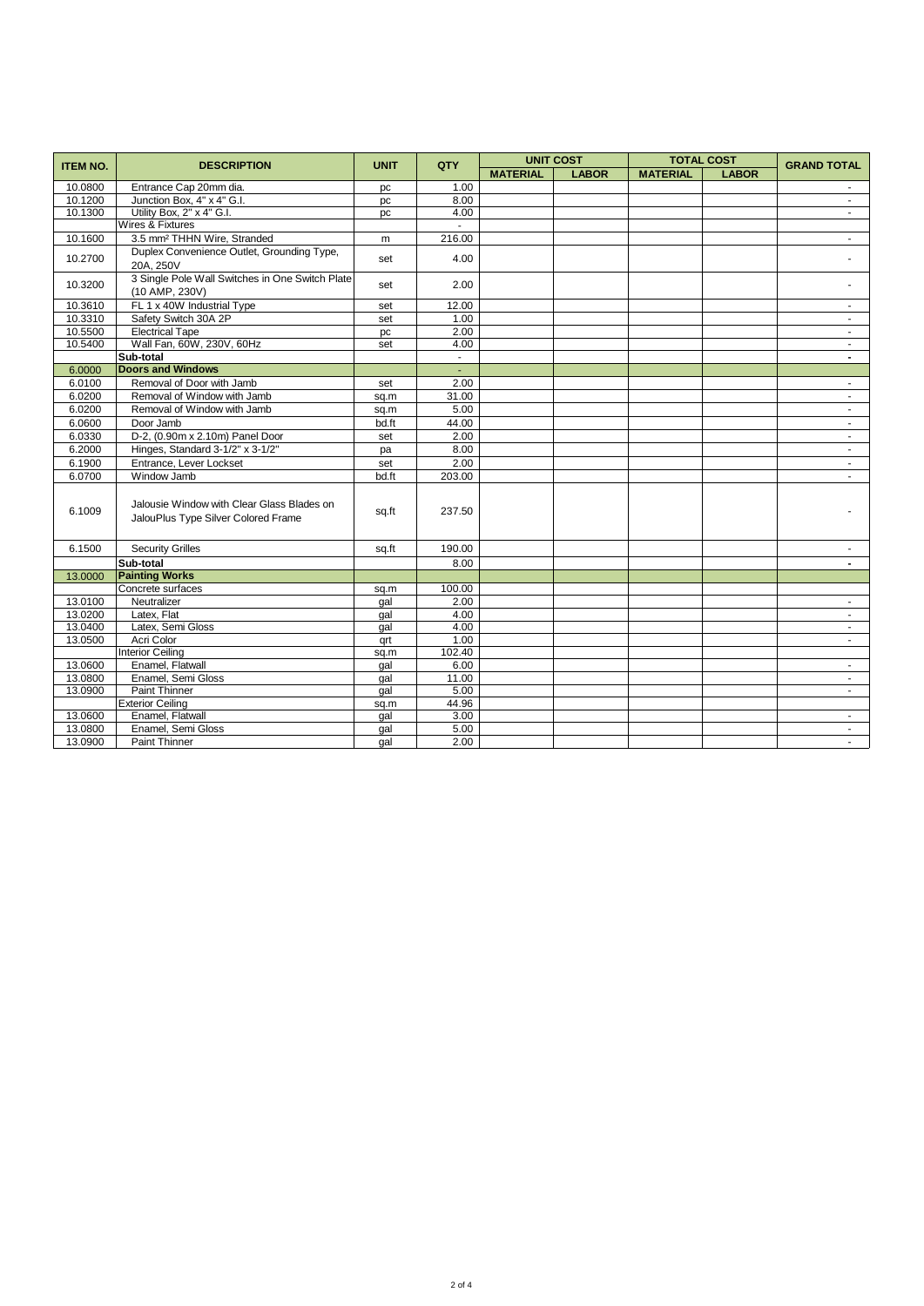| <b>ITEM NO.</b> | <b>DESCRIPTION</b>                                                                | <b>UNIT</b> | QTY    | <b>UNIT COST</b> |              | <b>TOTAL COST</b> |              | <b>GRAND TOTAL</b>       |
|-----------------|-----------------------------------------------------------------------------------|-------------|--------|------------------|--------------|-------------------|--------------|--------------------------|
|                 |                                                                                   |             |        | <b>MATERIAL</b>  | <b>LABOR</b> | <b>MATERIAL</b>   | <b>LABOR</b> |                          |
| 10.0800         | Entrance Cap 20mm dia.                                                            | pc          | 1.00   |                  |              |                   |              |                          |
| 10.1200         | Junction Box, 4" x 4" G.I.                                                        | pc          | 8.00   |                  |              |                   |              | $\blacksquare$           |
| 10.1300         | Utility Box, 2" x 4" G.I.                                                         | pc          | 4.00   |                  |              |                   |              | $\sim$                   |
|                 | Wires & Fixtures                                                                  |             | $\sim$ |                  |              |                   |              |                          |
| 10.1600         | 3.5 mm <sup>2</sup> THHN Wire, Stranded                                           | m           | 216.00 |                  |              |                   |              | $\sim$                   |
| 10.2700         | Duplex Convenience Outlet, Grounding Type,<br>20A. 250V                           | set         | 4.00   |                  |              |                   |              |                          |
| 10.3200         | 3 Single Pole Wall Switches in One Switch Plate<br>(10 AMP, 230V)                 | set         | 2.00   |                  |              |                   |              |                          |
| 10.3610         | FL 1 x 40W Industrial Type                                                        | set         | 12.00  |                  |              |                   |              | $\sim$                   |
| 10.3310         | Safety Switch 30A 2P                                                              | set         | 1.00   |                  |              |                   |              |                          |
| 10.5500         | <b>Electrical Tape</b>                                                            | pc          | 2.00   |                  |              |                   |              | $\sim$                   |
| 10.5400         | Wall Fan, 60W, 230V, 60Hz                                                         | set         | 4.00   |                  |              |                   |              | $\sim$                   |
|                 | Sub-total                                                                         |             | $\sim$ |                  |              |                   |              | $\overline{\phantom{a}}$ |
| 6.0000          | <b>Doors and Windows</b>                                                          |             | ÷.     |                  |              |                   |              |                          |
| 6.0100          | Removal of Door with Jamb                                                         | set         | 2.00   |                  |              |                   |              | $\blacksquare$           |
| 6.0200          | Removal of Window with Jamb                                                       | sq.m        | 31.00  |                  |              |                   |              | $\sim$                   |
| 6.0200          | Removal of Window with Jamb                                                       | sq.m        | 5.00   |                  |              |                   |              | $\sim$                   |
| 6.0600          | Door Jamb                                                                         | bd.ft       | 44.00  |                  |              |                   |              | $\blacksquare$           |
| 6.0330          | D-2, (0.90m x 2.10m) Panel Door                                                   | set         | 2.00   |                  |              |                   |              | $\sim$                   |
| 6.2000          | Hinges, Standard 3-1/2" x 3-1/2"                                                  | pa          | 8.00   |                  |              |                   |              | $\sim$                   |
| 6.1900          | Entrance, Lever Lockset                                                           | set         | 2.00   |                  |              |                   |              |                          |
| 6.0700          | Window Jamb                                                                       | bd.ft       | 203.00 |                  |              |                   |              | $\sim$                   |
| 6.1009          | Jalousie Window with Clear Glass Blades on<br>JalouPlus Type Silver Colored Frame | sq.ft       | 237.50 |                  |              |                   |              |                          |
| 6.1500          | <b>Security Grilles</b>                                                           | sq.ft       | 190.00 |                  |              |                   |              |                          |
|                 | Sub-total                                                                         |             | 8.00   |                  |              |                   |              | $\blacksquare$           |
| 13.0000         | <b>Painting Works</b>                                                             |             |        |                  |              |                   |              |                          |
|                 | Concrete surfaces                                                                 | sq.m        | 100.00 |                  |              |                   |              |                          |
| 13.0100         | Neutralizer                                                                       | gal         | 2.00   |                  |              |                   |              | $\sim$                   |
| 13.0200         | Latex, Flat                                                                       | qal         | 4.00   |                  |              |                   |              | $\sim$                   |
| 13.0400         | Latex, Semi Gloss                                                                 | gal         | 4.00   |                  |              |                   |              | $\sim$                   |
| 13.0500         | Acri Color                                                                        | qrt         | 1.00   |                  |              |                   |              | $\sim$                   |
|                 | <b>Interior Ceiling</b>                                                           | sq.m        | 102.40 |                  |              |                   |              |                          |
| 13.0600         | Enamel, Flatwall                                                                  | gal         | 6.00   |                  |              |                   |              | $\sim$                   |
| 13.0800         | Enamel, Semi Gloss                                                                | gal         | 11.00  |                  |              |                   |              | $\blacksquare$           |
| 13.0900         | <b>Paint Thinner</b>                                                              | qal         | 5.00   |                  |              |                   |              | $\sim$                   |
|                 | <b>Exterior Ceiling</b>                                                           | sq.m        | 44.96  |                  |              |                   |              |                          |
| 13.0600         | Enamel, Flatwall                                                                  | gal         | 3.00   |                  |              |                   |              | $\sim$                   |
| 13.0800         | Enamel, Semi Gloss                                                                | gal         | 5.00   |                  |              |                   |              | $\sim$                   |
| 13.0900         | Paint Thinner                                                                     | gal         | 2.00   |                  |              |                   |              | $\sim$                   |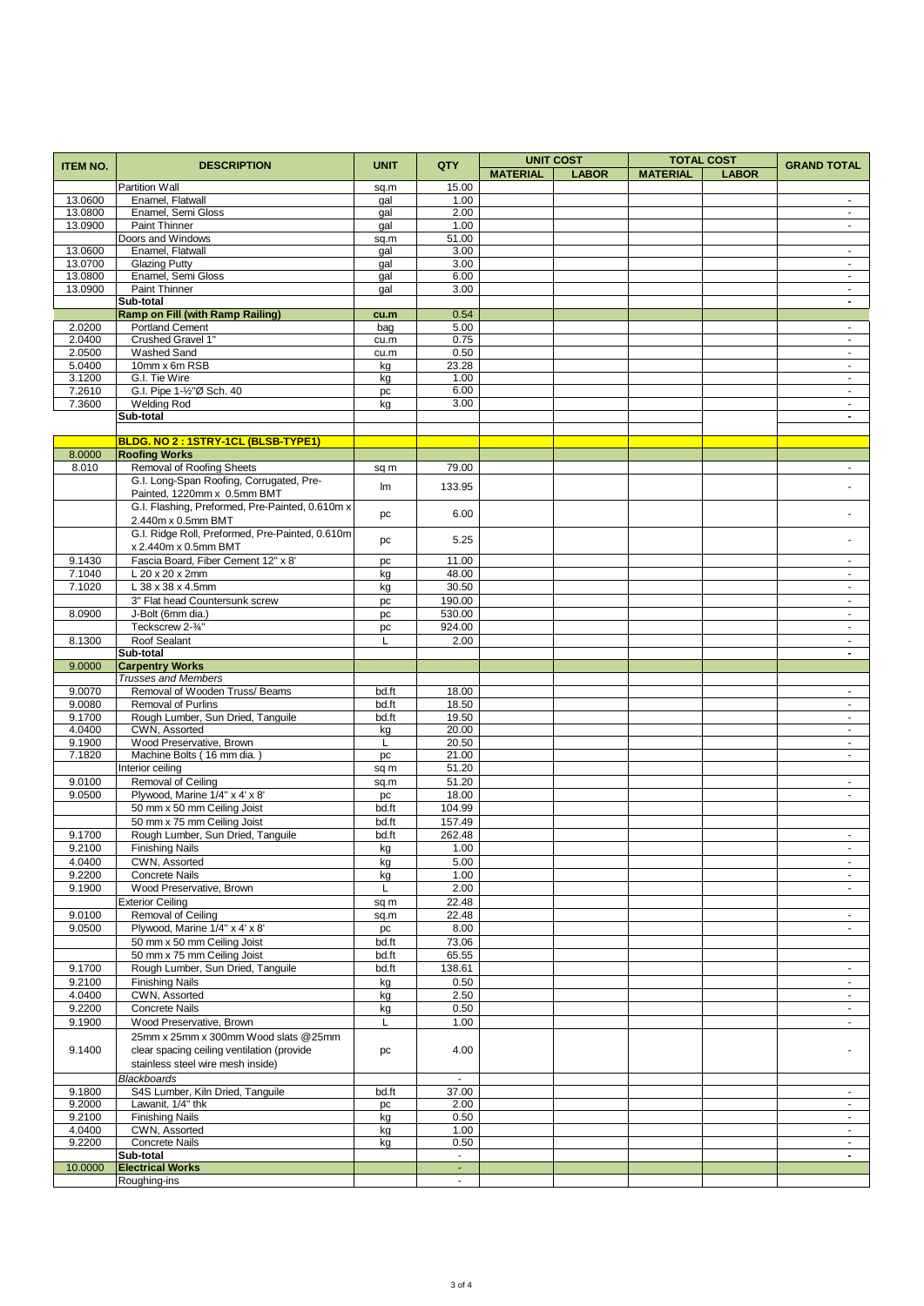| <b>ITEM NO.</b>  | <b>DESCRIPTION</b>                                     | <b>UNIT</b> | QTY                         | <b>UNIT COST</b> |              |                 | <b>TOTAL COST</b> | <b>GRAND TOTAL</b>               |
|------------------|--------------------------------------------------------|-------------|-----------------------------|------------------|--------------|-----------------|-------------------|----------------------------------|
|                  |                                                        |             |                             | <b>MATERIAL</b>  | <b>LABOR</b> | <b>MATERIAL</b> | <b>LABOR</b>      |                                  |
|                  | <b>Partition Wall</b>                                  | sq.m        | 15.00                       |                  |              |                 |                   |                                  |
| 13.0600          | Enamel, Flatwall                                       | gal         | 1.00                        |                  |              |                 |                   | $\blacksquare$                   |
| 13.0800          | Enamel, Semi Gloss                                     | gal         | 2.00                        |                  |              |                 |                   | $\sim$                           |
| 13.0900          | Paint Thinner                                          | gal         | 1.00                        |                  |              |                 |                   | $\blacksquare$                   |
|                  | Doors and Windows                                      | sq.m        | 51.00                       |                  |              |                 |                   |                                  |
| 13.0600          | Enamel, Flatwall                                       | gal         | 3.00                        |                  |              |                 |                   | $\blacksquare$                   |
| 13.0700          | <b>Glazing Putty</b>                                   | gal         | 3.00                        |                  |              |                 |                   | $\blacksquare$                   |
| 13.0800          | Enamel, Semi Gloss                                     | gal         | 6.00                        |                  |              |                 |                   | $\mathcal{L}^{\mathcal{L}}$      |
| 13.0900          | Paint Thinner                                          | gal         | 3.00                        |                  |              |                 |                   | $\blacksquare$                   |
|                  | Sub-total                                              |             |                             |                  |              |                 |                   | $\blacksquare$                   |
|                  | <b>Ramp on Fill (with Ramp Railing)</b>                | cu.m        | 0.54                        |                  |              |                 |                   |                                  |
| 2.0200           | Portland Cement                                        | bag         | 5.00                        |                  |              |                 |                   | $\sim$                           |
| 2.0400           | Crushed Gravel 1"                                      | cu.m        | 0.75                        |                  |              |                 |                   | $\sim$<br>$\sim$                 |
| 2.0500<br>5.0400 | Washed Sand<br>10mm x 6m RSB                           | cu.m        | 0.50<br>23.28               |                  |              |                 |                   | $\blacksquare$                   |
| 3.1200           | G.I. Tie Wire                                          | kg<br>kg    | 1.00                        |                  |              |                 |                   | $\sim$                           |
| 7.2610           | G.I. Pipe 1-1/2"Ø Sch. 40                              | pc          | 6.00                        |                  |              |                 |                   | $\blacksquare$                   |
| 7.3600           | <b>Welding Rod</b>                                     | kg          | 3.00                        |                  |              |                 |                   | $\blacksquare$                   |
|                  | Sub-total                                              |             |                             |                  |              |                 |                   | $\overline{\phantom{a}}$         |
|                  |                                                        |             |                             |                  |              |                 |                   |                                  |
|                  | BLDG. NO 2 : 1STRY-1CL (BLSB-TYPE1)                    |             |                             |                  |              |                 |                   |                                  |
| 8.0000           | <b>Roofing Works</b>                                   |             |                             |                  |              |                 |                   |                                  |
| 8.010            | Removal of Roofing Sheets                              | sq m        | 79.00                       |                  |              |                 |                   | ÷.                               |
|                  | G.I. Long-Span Roofing, Corrugated, Pre-               |             |                             |                  |              |                 |                   |                                  |
|                  | Painted, 1220mm x 0.5mm BMT                            | lm          | 133.95                      |                  |              |                 |                   |                                  |
|                  | G.I. Flashing, Preformed, Pre-Painted, 0.610m x        |             |                             |                  |              |                 |                   |                                  |
|                  | 2.440m x 0.5mm BMT                                     | pc          | 6.00                        |                  |              |                 |                   | $\blacksquare$                   |
|                  | G.I. Ridge Roll, Preformed, Pre-Painted, 0.610m        |             |                             |                  |              |                 |                   |                                  |
|                  | x 2.440m x 0.5mm BMT                                   | pc          | 5.25                        |                  |              |                 |                   |                                  |
| 9.1430           | Fascia Board, Fiber Cement 12" x 8'                    | pc          | 11.00                       |                  |              |                 |                   | $\omega$                         |
| 7.1040           | L 20 x 20 x 2mm                                        | kg          | 48.00                       |                  |              |                 |                   | $\blacksquare$                   |
| 7.1020           | L 38 x 38 x 4.5mm                                      | kg          | 30.50                       |                  |              |                 |                   | $\sim$                           |
|                  | 3" Flat head Countersunk screw                         | pc          | 190.00                      |                  |              |                 |                   | $\blacksquare$                   |
| 8.0900           | J-Bolt (6mm dia.)                                      | pc          | 530.00                      |                  |              |                 |                   | $\omega$ .                       |
|                  | Teckscrew 2-3/4"                                       | pc          | 924.00                      |                  |              |                 |                   | $\blacksquare$                   |
| 8.1300           | Roof Sealant                                           | L           | 2.00                        |                  |              |                 |                   | $\blacksquare$                   |
|                  | Sub-total                                              |             |                             |                  |              |                 |                   | $\blacksquare$                   |
| 9.0000           | <b>Carpentry Works</b>                                 |             |                             |                  |              |                 |                   |                                  |
|                  | <b>Trusses and Members</b>                             |             |                             |                  |              |                 |                   |                                  |
| 9.0070           | Removal of Wooden Truss/ Beams                         | bd.ft       | 18.00                       |                  |              |                 |                   | $\blacksquare$                   |
| 9.0080           | <b>Removal of Purlins</b>                              | bd.ft       | 18.50                       |                  |              |                 |                   | $\blacksquare$                   |
| 9.1700           | Rough Lumber, Sun Dried, Tanguile                      | bd.ft       | 19.50                       |                  |              |                 |                   | $\blacksquare$                   |
| 4.0400           | CWN, Assorted                                          | kg          | 20.00                       |                  |              |                 |                   | $\sim$                           |
| 9.1900           | Wood Preservative, Brown                               | L           | 20.50                       |                  |              |                 |                   | $\blacksquare$                   |
| 7.1820           | Machine Bolts (16 mm dia.                              | pc          | 21.00                       |                  |              |                 |                   | $\omega$                         |
|                  | Interior ceiling                                       | sq m        | 51.20                       |                  |              |                 |                   |                                  |
| 9.0100           | Removal of Ceiling                                     | sq.m        | 51.20                       |                  |              |                 |                   | $\sim$                           |
| 9.0500           | Plywood, Marine 1/4" x 4' x 8'                         | pc          | 18.00                       |                  |              |                 |                   | ÷.                               |
|                  | 50 mm x 50 mm Ceiling Joist                            | bd.ft       | 104.99                      |                  |              |                 |                   |                                  |
|                  | 50 mm x 75 mm Ceiling Joist                            | bd.ft       | 157.49                      |                  |              |                 |                   |                                  |
| 9.1700           | Rough Lumber, Sun Dried, Tanguile                      | bd.ft       | 262.48                      |                  |              |                 |                   | $\sim$                           |
| 9.2100           | <b>Finishing Nails</b>                                 | kg          | 1.00                        |                  |              |                 |                   |                                  |
| 4.0400           | CWN, Assorted                                          | kg          | 5.00                        |                  |              |                 |                   | $\blacksquare$                   |
| 9.2200           | <b>Concrete Nails</b>                                  | kg          | 1.00                        |                  |              |                 |                   | $\sim$                           |
| 9.1900           | Wood Preservative, Brown                               | L           | 2.00                        |                  |              |                 |                   | $\blacksquare$                   |
|                  | <b>Exterior Ceiling</b>                                | sq m        | 22.48                       |                  |              |                 |                   |                                  |
| 9.0100           | Removal of Ceiling                                     | sq.m        | 22.48                       |                  |              |                 |                   | $\sim$                           |
| 9.0500           | Plywood, Marine 1/4" x 4' x 8'                         | pc          | 8.00                        |                  |              |                 |                   | ÷.                               |
|                  | 50 mm x 50 mm Ceiling Joist                            | bd.ft       | 73.06                       |                  |              |                 |                   |                                  |
|                  | 50 mm x 75 mm Ceiling Joist                            | bd.ft       | 65.55                       |                  |              |                 |                   |                                  |
| 9.1700           | Rough Lumber, Sun Dried, Tanguile                      | bd.ft       | 138.61                      |                  |              |                 |                   | $\blacksquare$                   |
| 9.2100           | <b>Finishing Nails</b>                                 | kg          | 0.50                        |                  |              |                 |                   | $\blacksquare$                   |
| 4.0400           | CWN, Assorted                                          | kg          | 2.50                        |                  |              |                 |                   | $\sim$                           |
| 9.2200           | <b>Concrete Nails</b>                                  | kg          | 0.50                        |                  |              |                 |                   | $\blacksquare$                   |
| 9.1900           | Wood Preservative, Brown                               | Г           | 1.00                        |                  |              |                 |                   | $\blacksquare$                   |
|                  | 25mm x 25mm x 300mm Wood slats @25mm                   |             |                             |                  |              |                 |                   |                                  |
| 9.1400           | clear spacing ceiling ventilation (provide             | pc          | 4.00                        |                  |              |                 |                   |                                  |
|                  | stainless steel wire mesh inside)                      |             |                             |                  |              |                 |                   |                                  |
|                  |                                                        |             | $\omega$                    |                  |              |                 |                   |                                  |
| 9.1800           | <b>Blackboards</b><br>S4S Lumber, Kiln Dried, Tanguile | bd.ft       | 37.00                       |                  |              |                 |                   |                                  |
| 9.2000           | Lawanit, 1/4" thk                                      |             | 2.00                        |                  |              |                 |                   | $\blacksquare$<br>$\blacksquare$ |
| 9.2100           | <b>Finishing Nails</b>                                 | pc          | 0.50                        |                  |              |                 |                   | $\blacksquare$                   |
| 4.0400           | CWN, Assorted                                          | kg          | 1.00                        |                  |              |                 |                   | $\sim$                           |
| 9.2200           | <b>Concrete Nails</b>                                  | kg<br>kg    | 0.50                        |                  |              |                 |                   | $\blacksquare$                   |
|                  | Sub-total                                              |             | $\mathcal{L}_{\mathcal{A}}$ |                  |              |                 |                   | $\blacksquare$                   |
| 10.0000          | <b>Electrical Works</b>                                |             | $\sim$                      |                  |              |                 |                   |                                  |
|                  | Roughing-ins                                           |             | $\sim$                      |                  |              |                 |                   |                                  |
|                  |                                                        |             |                             |                  |              |                 |                   |                                  |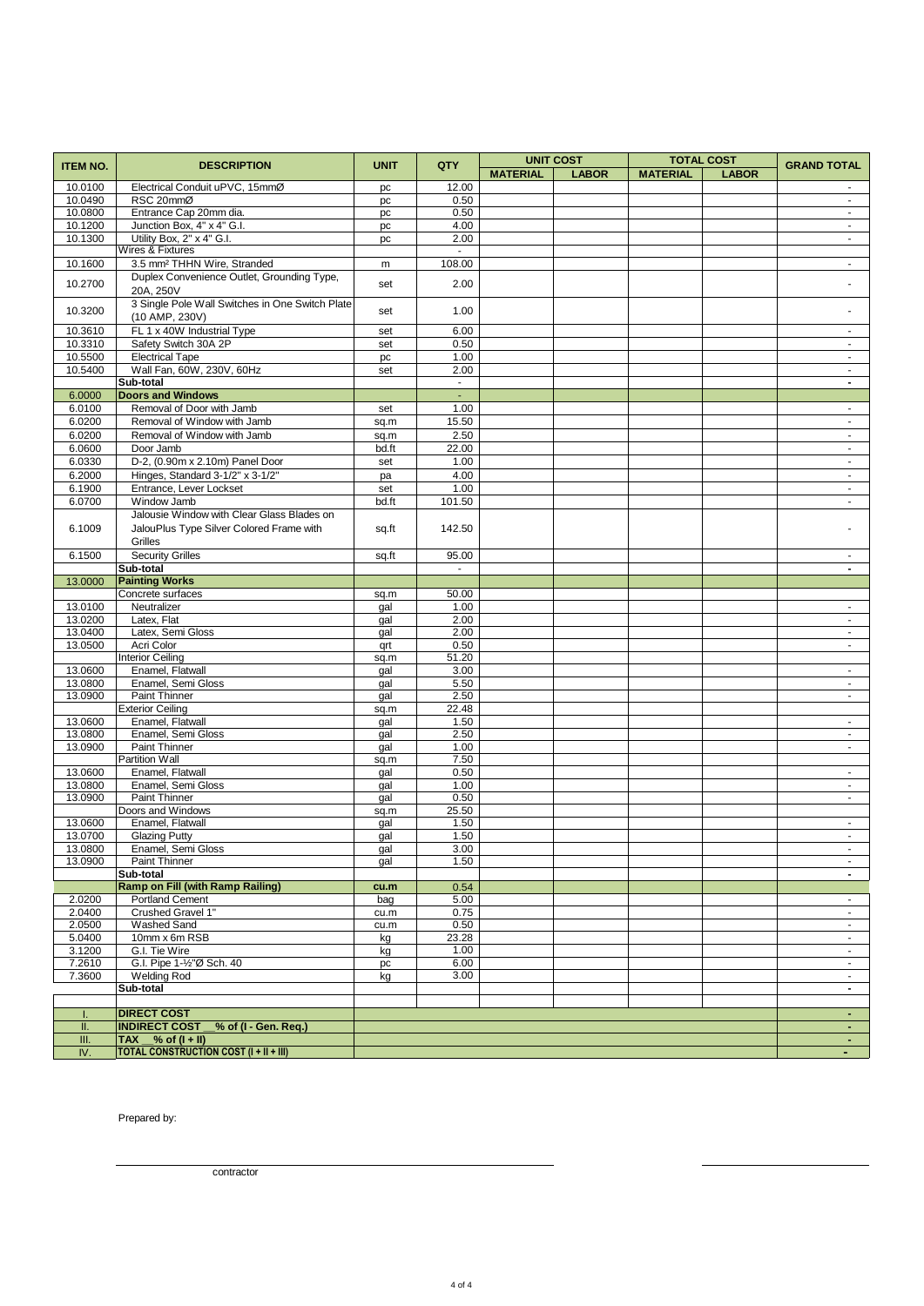| <b>ITEM NO.</b>  | <b>DESCRIPTION</b>                                                                     | <b>UNIT</b>   | QTY               | <b>UNIT COST</b><br><b>TOTAL COST</b> |              |                 | <b>GRAND TOTAL</b> |                                  |
|------------------|----------------------------------------------------------------------------------------|---------------|-------------------|---------------------------------------|--------------|-----------------|--------------------|----------------------------------|
|                  |                                                                                        |               |                   | <b>MATERIAL</b>                       | <b>LABOR</b> | <b>MATERIAL</b> | <b>LABOR</b>       |                                  |
| 10.0100          | Electrical Conduit uPVC, 15mmØ                                                         | pc            | 12.00             |                                       |              |                 |                    |                                  |
| 10.0490          | RSC 20mmØ                                                                              | pc            | 0.50              |                                       |              |                 |                    | $\sim$                           |
| 10.0800          | Entrance Cap 20mm dia.                                                                 | pc            | 0.50              |                                       |              |                 |                    | $\sim$                           |
| 10.1200          | Junction Box, 4" x 4" G.I.                                                             | pc            | 4.00              |                                       |              |                 |                    | $\blacksquare$                   |
| 10.1300          | Utility Box, 2" x 4" G.I.                                                              | pc            | 2.00              |                                       |              |                 |                    | $\sim$                           |
|                  | Wires & Fixtures                                                                       |               | $\sim$            |                                       |              |                 |                    |                                  |
| 10.1600          | 3.5 mm <sup>2</sup> THHN Wire, Stranded                                                | m             | 108.00            |                                       |              |                 |                    | ÷.                               |
| 10.2700          | Duplex Convenience Outlet, Grounding Type,                                             | set           | 2.00              |                                       |              |                 |                    |                                  |
|                  | 20A, 250V                                                                              |               |                   |                                       |              |                 |                    |                                  |
| 10.3200          | 3 Single Pole Wall Switches in One Switch Plate                                        | set           | 1.00              |                                       |              |                 |                    |                                  |
|                  | (10 AMP, 230V)                                                                         |               |                   |                                       |              |                 |                    |                                  |
| 10.3610          | FL 1 x 40W Industrial Type                                                             | set           | 6.00              |                                       |              |                 |                    | ÷.                               |
| 10.3310          | Safety Switch 30A 2P                                                                   | set           | 0.50              |                                       |              |                 |                    | $\sim$                           |
| 10.5500          | <b>Electrical Tape</b>                                                                 | pc            | 1.00              |                                       |              |                 |                    | $\sim$                           |
| 10.5400          | Wall Fan, 60W, 230V, 60Hz                                                              | set           | 2.00<br>$\sim$    |                                       |              |                 |                    | $\blacksquare$<br>$\blacksquare$ |
| 6.0000           | Sub-total<br><b>Doors and Windows</b>                                                  |               | $\blacksquare$    |                                       |              |                 |                    |                                  |
| 6.0100           | Removal of Door with Jamb                                                              |               | 1.00              |                                       |              |                 |                    | $\sim$                           |
| 6.0200           | Removal of Window with Jamb                                                            | set           | 15.50             |                                       |              |                 |                    |                                  |
| 6.0200           | Removal of Window with Jamb                                                            | sq.m          | 2.50              |                                       |              |                 |                    | $\blacksquare$<br>$\blacksquare$ |
| 6.0600           | Door Jamb                                                                              | sq.m<br>bd.ft | 22.00             |                                       |              |                 |                    | $\blacksquare$                   |
| 6.0330           | D-2, (0.90m x 2.10m) Panel Door                                                        |               | 1.00              |                                       |              |                 |                    | $\omega$                         |
|                  |                                                                                        | set           |                   |                                       |              |                 |                    |                                  |
| 6.2000<br>6.1900 | Hinges, Standard 3-1/2" x 3-1/2"<br>Entrance, Lever Lockset                            | pa            | 4.00              |                                       |              |                 |                    | $\blacksquare$                   |
|                  | Window Jamb                                                                            | set           | 1.00<br>101.50    |                                       |              |                 |                    | $\blacksquare$                   |
| 6.0700           |                                                                                        | bd.ft         |                   |                                       |              |                 |                    | $\sim$                           |
| 6.1009           | Jalousie Window with Clear Glass Blades on<br>JalouPlus Type Silver Colored Frame with |               |                   |                                       |              |                 |                    |                                  |
|                  |                                                                                        | sq.ft         | 142.50            |                                       |              |                 |                    |                                  |
|                  | Grilles                                                                                |               |                   |                                       |              |                 |                    |                                  |
| 6.1500           | <b>Security Grilles</b>                                                                | sq.ft         | 95.00<br>$\omega$ |                                       |              |                 |                    | $\sim$                           |
|                  | Sub-total<br><b>Painting Works</b>                                                     |               |                   |                                       |              |                 |                    | $\blacksquare$                   |
| 13.0000          | Concrete surfaces                                                                      |               |                   |                                       |              |                 |                    |                                  |
| 13.0100          | Neutralizer                                                                            | sq.m          | 50.00<br>1.00     |                                       |              |                 |                    |                                  |
| 13.0200          | Latex, Flat                                                                            | gal<br>gal    | 2.00              |                                       |              |                 |                    | $\omega$                         |
| 13.0400          | Latex, Semi Gloss                                                                      | gal           | 2.00              |                                       |              |                 |                    | $\sim$                           |
| 13.0500          | Acri Color                                                                             | qrt           | 0.50              |                                       |              |                 |                    | $\blacksquare$                   |
|                  | <b>Interior Ceiling</b>                                                                | sq.m          | 51.20             |                                       |              |                 |                    |                                  |
| 13.0600          | Enamel, Flatwall                                                                       | gal           | 3.00              |                                       |              |                 |                    | $\sim$                           |
| 13.0800          | Enamel, Semi Gloss                                                                     | gal           | 5.50              |                                       |              |                 |                    | $\blacksquare$                   |
| 13.0900          | Paint Thinner                                                                          | gal           | 2.50              |                                       |              |                 |                    | $\blacksquare$                   |
|                  | <b>Exterior Ceiling</b>                                                                | sq.m          | 22.48             |                                       |              |                 |                    |                                  |
| 13.0600          | Enamel, Flatwall                                                                       | gal           | 1.50              |                                       |              |                 |                    | $\sim$                           |
| 13.0800          | Enamel, Semi Gloss                                                                     | gal           | 2.50              |                                       |              |                 |                    | $\sim$                           |
| 13.0900          | Paint Thinner                                                                          | gal           | 1.00              |                                       |              |                 |                    | $\omega$                         |
|                  | Partition Wall                                                                         | sq.m          | 7.50              |                                       |              |                 |                    |                                  |
| 13.0600          | Enamel, Flatwall                                                                       | gal           | 0.50              |                                       |              |                 |                    | $\sim$                           |
| 13.0800          | Enamel, Semi Gloss                                                                     | gal           | 1.00              |                                       |              |                 |                    | $\blacksquare$                   |
| 13.0900          | Paint Thinner                                                                          | gal           | 0.50              |                                       |              |                 |                    | $\blacksquare$                   |
|                  | Doors and Windows                                                                      | sq.m          | 25.50             |                                       |              |                 |                    |                                  |
| 13.0600          | Enamel, Flatwall                                                                       | gal           | 1.50              |                                       |              |                 |                    |                                  |
| 13.0700          | <b>Glazing Putty</b>                                                                   | gal           | 1.50              |                                       |              |                 |                    | $\sim$                           |
| 13.0800          | Enamel, Semi Gloss                                                                     | gal           | 3.00              |                                       |              |                 |                    | $\blacksquare$                   |
| 13.0900          | Paint Thinner<br>Sub-total                                                             | gal           | 1.50              |                                       |              |                 |                    | $\sim$                           |
|                  | <b>Ramp on Fill (with Ramp Railing)</b>                                                | cu.m          | 0.54              |                                       |              |                 |                    |                                  |
| 2.0200           | <b>Portland Cement</b>                                                                 | bag           | 5.00              |                                       |              |                 |                    | $\sim$                           |
| 2.0400           | Crushed Gravel 1"                                                                      | cu.m          | 0.75              |                                       |              |                 |                    | $\sim$                           |
| 2.0500           | <b>Washed Sand</b>                                                                     | cu.m          | 0.50              |                                       |              |                 |                    | $\sim$                           |
| 5.0400           | 10mm x 6m RSB                                                                          | kg            | 23.28             |                                       |              |                 |                    | $\sim$                           |
| 3.1200           | G.I. Tie Wire                                                                          | kg            | 1.00              |                                       |              |                 |                    | $\omega$                         |
| 7.2610           | G.I. Pipe 1-1/2"Ø Sch. 40                                                              | pc            | 6.00              |                                       |              |                 |                    | $\sim$                           |
| 7.3600           | <b>Welding Rod</b>                                                                     | kg            | 3.00              |                                       |              |                 |                    | $\sim$                           |
|                  | Sub-total                                                                              |               |                   |                                       |              |                 |                    | $\blacksquare$                   |
|                  |                                                                                        |               |                   |                                       |              |                 |                    |                                  |
| L                | <b>DIRECT COST</b>                                                                     |               |                   |                                       |              |                 |                    | $\sim$                           |
| Ш.               | <b>INDIRECT COST</b><br>% of (I - Gen. Req.)                                           |               |                   |                                       |              |                 |                    | $\sim$                           |
| Ш.               | $\overline{AX \_\text{0}}$ of $(I + II)$                                               |               |                   |                                       |              |                 |                    | $\omega_{\rm c}$                 |
| IV.              | <b>TOTAL CONSTRUCTION COST (I + II + III)</b>                                          |               |                   |                                       |              |                 |                    | ٠                                |

Prepared by:

contractor